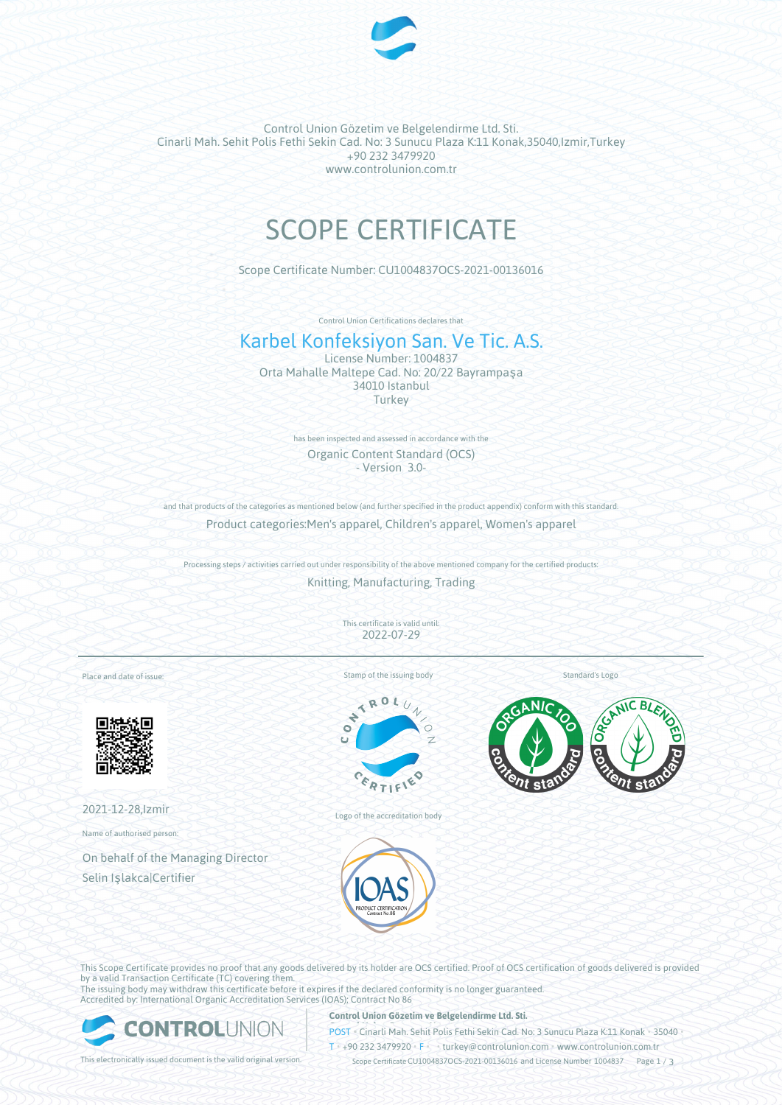

Control Union Gözetim ve Belgelendirme Ltd. Sti. Cinarli Mah. Sehit Polis Fethi Sekin Cad. No: 3 Sunucu Plaza K:11 Konak,35040,Izmir,Turkey +90 232 3479920 www.controlunion.com.tr

# SCOPE CERTIFICATE

Scope Certificate Number: CU1004837OCS-2021-00136016

Control Union Certifications declares that

# Karbel Konfeksiyon San. Ve Tic. A.S.

License Number: 1004837 Orta Mahalle Maltepe Cad. No: 20/22 Bayrampaşa 34010 Istanbul Turkey

> has been inspected and assessed in accordance with the Organic Content Standard (OCS) - Version 3.0-

and that products of the categories as mentioned below (and further specified in the product appendix) conform with this standard. Product categories:Men's apparel, Children's apparel, Women's apparel

Processing steps / activities carried out under responsibility of the above mentioned company for the certified products:

Knitting, Manufacturing, Trading

This certificate is valid until: 2022-07-29

Place and date of issue:



2021-12-28,Izmir

Name of authorised person:

On behalf of the Managing Director Selin Işlakca|Certifier

Stamp of the issuing body

 $\overline{\mathbf{A}}$  $x_0$ ò





Logo of the accreditation body

This Scope Certificate provides no proof that any goods delivered by its holder are OCS certified. Proof of OCS certification of goods delivered is provided by a valid Transaction Certificate (TC) covering them. The issuing body may withdraw this certificate before it expires if the declared conformity is no longer guaranteed.

Accredited by: International Organic Accreditation Services (IOAS); Contract No 86



#### **Control Union Gözetim ve Belgelendirme Ltd. Sti.**

**POST** • Cinarli Mah. Sehit Polis Fethi Sekin Cad. No: 3 Sunucu Plaza K:11 Konak • 35040

T • +90 232 3479920 • F • • turkey@controlunion.com • www.controlunion.com.tr

This electronically issued document is the valid original version. Scope Certificate CU1004837OCS-2021-00136016 and License Number 1004837 Page 1 / 3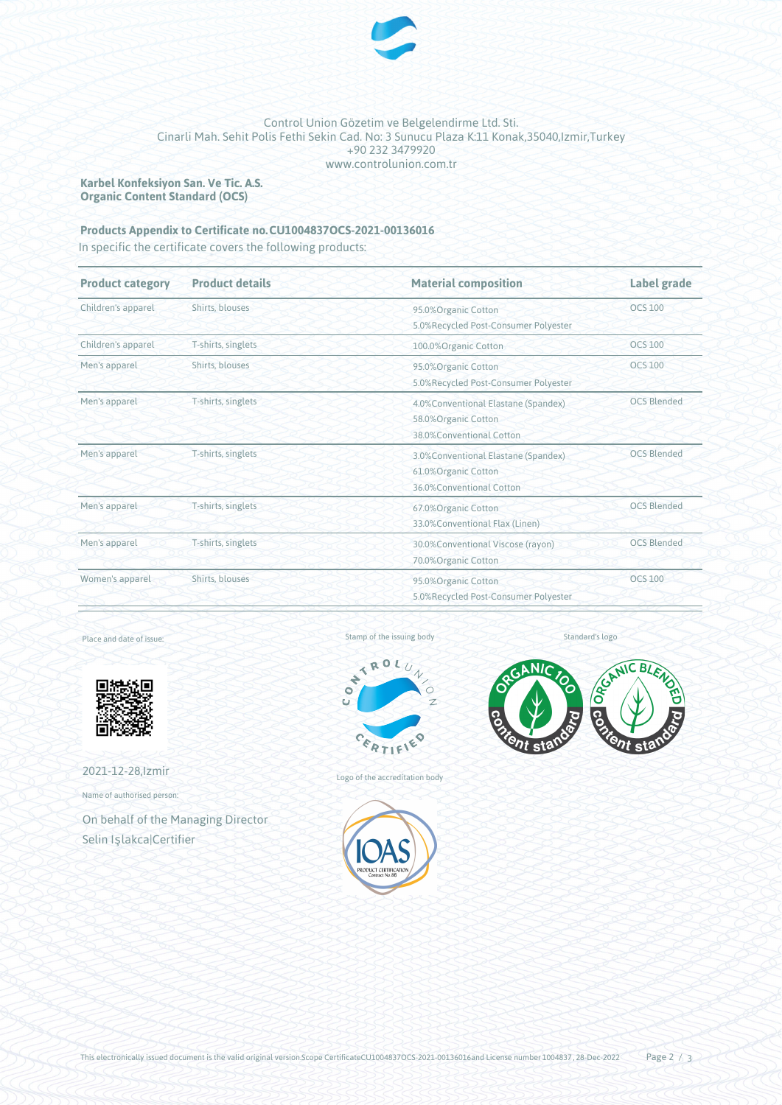

#### Control Union Gözetim ve Belgelendirme Ltd. Sti. Cinarli Mah. Sehit Polis Fethi Sekin Cad. No: 3 Sunucu Plaza K:11 Konak,35040,Izmir,Turkey +90 232 3479920 www.controlunion.com.tr

**Karbel Konfeksiyon San. Ve Tic. A.S. Organic Content Standard (OCS)**

## Products Appendix to Certificate no. CU1004837OCS-2021-00136016

In specific the certificate covers the following products:

| <b>Product category</b> | <b>Product details</b> | <b>Material composition</b>                                                              | Label grade<br><b>OCS 100</b> |  |
|-------------------------|------------------------|------------------------------------------------------------------------------------------|-------------------------------|--|
| Children's apparel      | Shirts, blouses        | 95.0%Organic Cotton<br>5.0%Recycled Post-Consumer Polyester                              |                               |  |
| Children's apparel      | T-shirts, singlets     | 100.0%Organic Cotton                                                                     | <b>OCS 100</b>                |  |
| Men's apparel           | Shirts, blouses        | <b>OCS 100</b><br>95.0%Organic Cotton<br>5.0%Recycled Post-Consumer Polyester            |                               |  |
| Men's apparel           | T-shirts, singlets     | 4.0% Conventional Elastane (Spandex)<br>58.0%Organic Cotton<br>38.0%Conventional Cotton  | <b>OCS Blended</b>            |  |
| Men's apparel           | T-shirts, singlets     | 3.0% Conventional Elastane (Spandex)<br>61.0% Organic Cotton<br>36.0%Conventional Cotton | <b>OCS Blended</b>            |  |
| Men's apparel           | T-shirts, singlets     | <b>OCS Blended</b><br>67.0% Organic Cotton<br>33.0%Conventional Flax (Linen)             |                               |  |
| Men's apparel           | T-shirts, singlets     | <b>OCS Blended</b><br>30.0%Conventional Viscose (rayon)<br>70.0% Organic Cotton          |                               |  |
| Women's apparel         | Shirts, blouses        | 95.0%Organic Cotton<br>5.0%Recycled Post-Consumer Polyester                              | <b>OCS 100</b>                |  |

Place and date of issue:



2021-12-28,Izmir

Name of authorised person:

On behalf of the Managing Director Selin Işlakca|Certifier

Stamp of the issuing body



Logo of the accreditation body





Standard's logo

This electronically issued document is the valid original version.Scope CertificateCU1004837OCS-2021-00136016and License number 1004837, 28-Dec-2022 Page  $2/3$